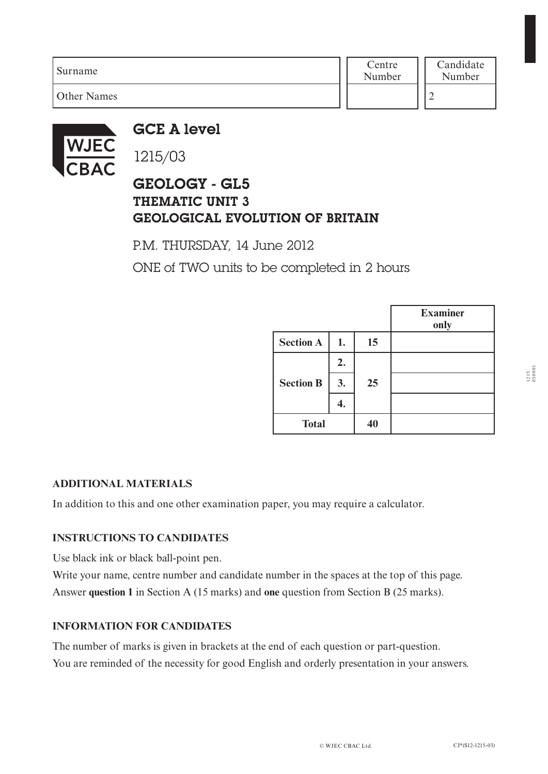Surname

Centre Number

2

Candidate Number

Other Names



GCE A level

1215/03

# GEOLOGY - GL5 THEMATIC UNIT 3 GEOLOGICAL EVOLUTION OF BRITAIN

P.M. THURSDAY, 14 June 2012

ONE of TWO units to be completed in 2 hours

|                  |    |    | <b>Examiner</b><br>only |
|------------------|----|----|-------------------------|
| <b>Section A</b> | 1. | 15 |                         |
|                  | 2. |    |                         |
| <b>Section B</b> | 3. | 25 |                         |
|                  |    |    |                         |
| <b>Total</b>     |    | 40 |                         |

# **ADDITIONAL MATERIALS**

In addition to this and one other examination paper, you may require a calculator.

# **INSTRUCTIONS TO CANDIDATES**

Use black ink or black ball-point pen.

Write your name, centre number and candidate number in the spaces at the top of this page. Answer **question 1** in Section A (15 marks) and **one** question from Section B (25 marks).

# **INFORMATION FOR CANDIDATES**

The number of marks is given in brackets at the end of each question or part-question. You are reminded of the necessity for good English and orderly presentation in your answers.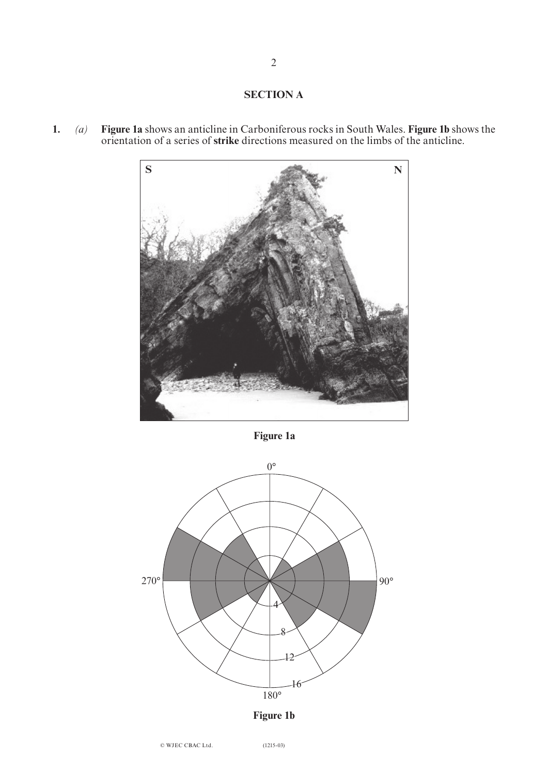### **SECTION A**

**1.** *(a)* **Figure 1a** shows an anticline in Carboniferous rocks in South Wales. **Figure 1b** shows the orientation of a series of **strike** directions measured on the limbs of the anticline.



**Figure 1a**



**Figure 1b**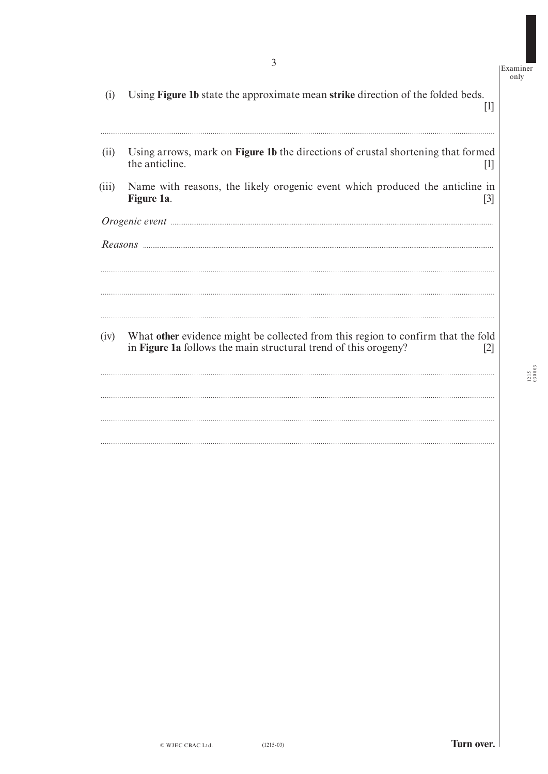(i) Using **Figure 1b** state the approximate mean **strike** direction of the folded beds. [1] (ii) Using arrows, mark on **Figure 1b** the directions of crustal shortening that formed the anticline. [1] (iii) Name with reasons, the likely orogenic event which produced the anticline in Figure 1a. [3] **Figure 1a**. [3] *Orogenic event* **.............................................................................................................................................................................** *Reasons* **............................................................................................................................................................................................** 3 Examiner

(iv) What **other** evidence might be collected from this region to confirm that the fold in **Figure 1a** follows the main structural trend of this orogeny? [2]

(1215-03)

only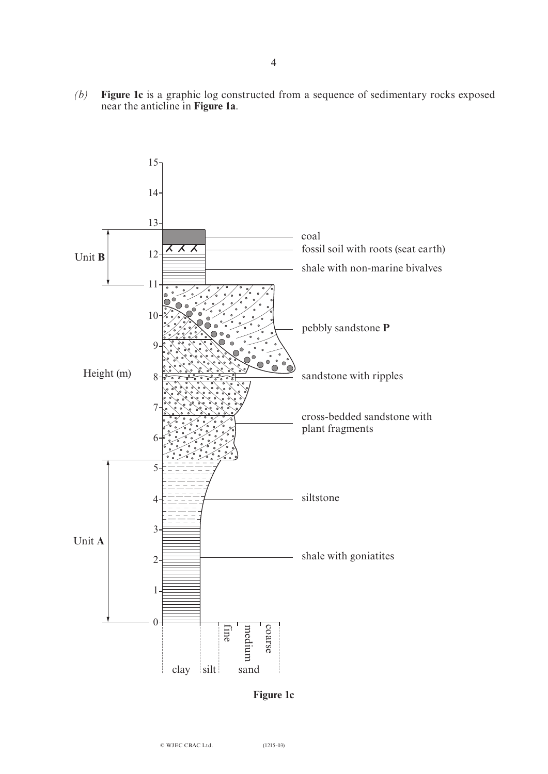*(b)* **Figure 1c** is a graphic log constructed from a sequence of sedimentary rocks exposed near the anticline in **Figure 1a**.



**Figure 1c**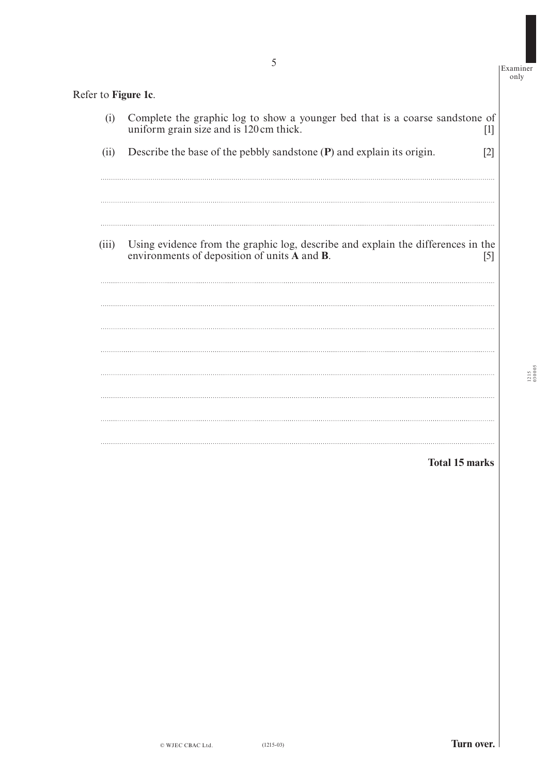Refer to **Figure 1c**. (i) Complete the graphic log to show a younger bed that is a coarse sandstone of uniform grain size and is 120 cm thick. [1] (ii) Describe the base of the pebbly sandstone (**P**) and explain its origin. [2] (iii) Using evidence from the graphic log, describe and explain the differences in the environments of deposition of units **A** and **B**. [5]  $\cdots$ 

# **Total 15 marks**

5 Examiner

1215 030005

only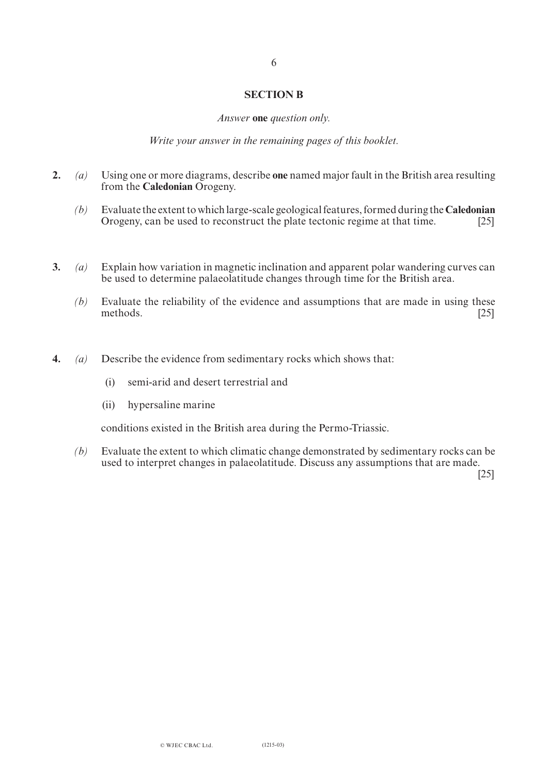### **SECTION B**

#### *Answer* **one** *question only.*

#### *Write your answer in the remaining pages of this booklet.*

- **2.** *(a)* Using one or more diagrams, describe **one** named major fault in the British area resulting from the **Caledonian** Orogeny.
	- *(b)* Evaluate the extent to which large-scale geological features, formed during the **Caledonian** Orogeny, can be used to reconstruct the plate tectonic regime at that time. [25]
- **3.** *(a)* Explain how variation in magnetic inclination and apparent polar wandering curves can be used to determine palaeolatitude changes through time for the British area.
	- *(b)* Evaluate the reliability of the evidence and assumptions that are made in using these methods.  $[25]$
- **4.** *(a)* Describe the evidence from sedimentary rocks which shows that:
	- (i) semi-arid and desert terrestrial and
	- (ii) hypersaline marine

conditions existed in the British area during the Permo-Triassic.

*(b)* Evaluate the extent to which climatic change demonstrated by sedimentary rocks can be used to interpret changes in palaeolatitude. Discuss any assumptions that are made.

[25]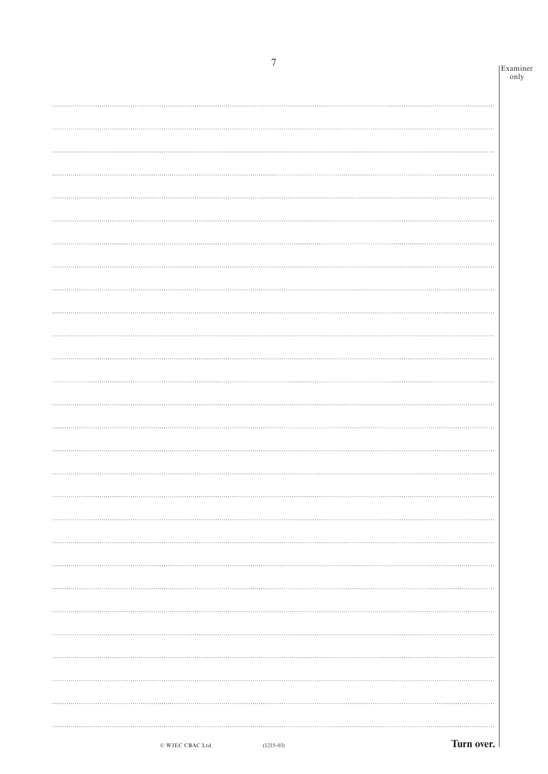#### Examiner only

7

|                        |             | .          |
|------------------------|-------------|------------|
|                        |             |            |
|                        |             |            |
|                        |             |            |
|                        |             |            |
|                        |             |            |
|                        |             |            |
|                        |             |            |
|                        |             |            |
|                        |             |            |
|                        |             |            |
|                        |             |            |
|                        |             |            |
|                        |             |            |
|                        |             |            |
|                        |             |            |
|                        |             |            |
|                        |             |            |
|                        |             | .          |
|                        |             |            |
|                        |             |            |
|                        |             |            |
|                        |             |            |
|                        |             |            |
|                        |             |            |
|                        |             |            |
|                        |             |            |
| $\odot$ WJEC CBAC Ltd. | $(1215-03)$ | Turn over. |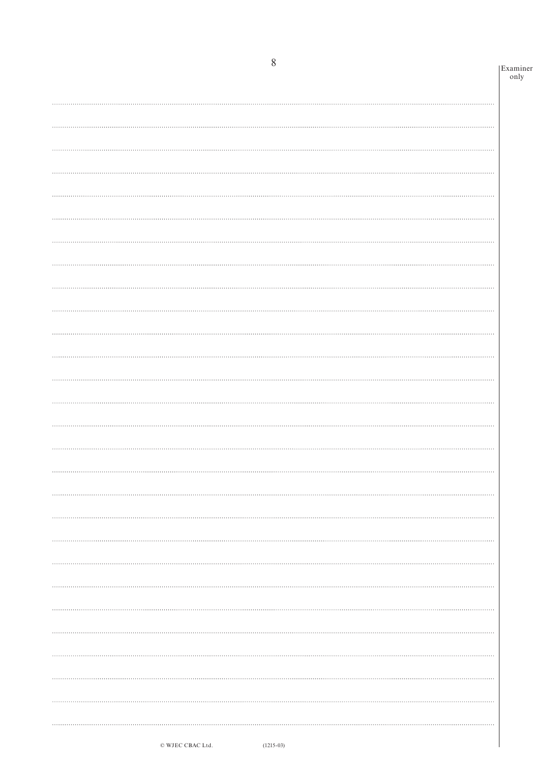### 8 Examiner Examiner<br>only

| $\odot$ WJEC CBAC Ltd. | $(1215-03)$ |  |
|------------------------|-------------|--|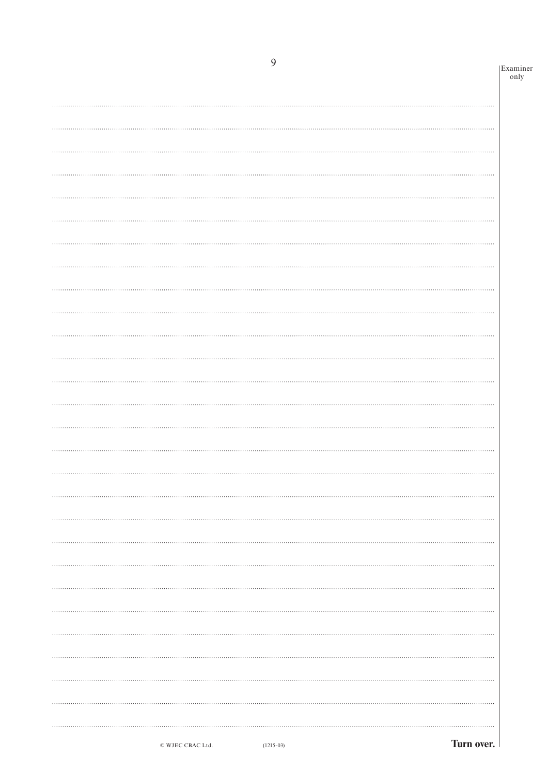| Examiner |
|----------|
| only     |
|          |

| . |                        |             |            |
|---|------------------------|-------------|------------|
|   |                        |             |            |
|   |                        |             |            |
|   |                        |             |            |
|   |                        |             |            |
|   |                        |             |            |
|   |                        |             |            |
|   |                        |             |            |
|   |                        |             |            |
|   |                        |             |            |
|   |                        |             |            |
|   |                        |             |            |
|   |                        |             |            |
|   |                        |             |            |
|   |                        |             |            |
|   |                        |             |            |
|   |                        |             |            |
|   |                        |             |            |
|   |                        |             |            |
|   |                        |             |            |
|   |                        |             |            |
|   |                        |             |            |
|   |                        |             |            |
|   |                        |             |            |
|   |                        |             |            |
|   |                        |             |            |
|   |                        |             |            |
|   |                        |             |            |
|   |                        |             |            |
|   |                        |             |            |
|   |                        |             |            |
|   |                        |             |            |
|   |                        |             |            |
|   |                        |             |            |
|   |                        |             |            |
|   |                        |             |            |
|   |                        |             |            |
|   |                        |             |            |
|   |                        |             |            |
|   |                        |             |            |
|   |                        |             |            |
|   | $\odot$ WJEC CBAC Ltd. | $(1215-03)$ | Turn over. |